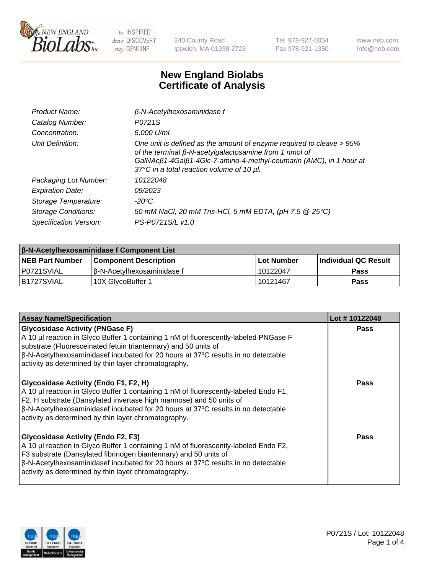

240 County Road Ipswich, MA 01938-2723 Tel 978-927-5054 Fax 978-921-1350 www.neb.com info@neb.com

## **New England Biolabs Certificate of Analysis**

| Product Name:              | $\beta$ -N-Acetylhexosaminidase f                                                                                                                                                                                                                        |
|----------------------------|----------------------------------------------------------------------------------------------------------------------------------------------------------------------------------------------------------------------------------------------------------|
| Catalog Number:            | P0721S                                                                                                                                                                                                                                                   |
| Concentration:             | 5,000 U/ml                                                                                                                                                                                                                                               |
| Unit Definition:           | One unit is defined as the amount of enzyme required to cleave > 95%<br>of the terminal $\beta$ -N-acetylgalactosamine from 1 nmol of<br>GalNAcß1-4Galß1-4Glc-7-amino-4-methyl-coumarin (AMC), in 1 hour at<br>37°C in a total reaction volume of 10 µl. |
| Packaging Lot Number:      | 10122048                                                                                                                                                                                                                                                 |
| <b>Expiration Date:</b>    | 09/2023                                                                                                                                                                                                                                                  |
| Storage Temperature:       | $-20^{\circ}$ C                                                                                                                                                                                                                                          |
| <b>Storage Conditions:</b> | 50 mM NaCl, 20 mM Tris-HCl, 5 mM EDTA, (pH 7.5 @ 25°C)                                                                                                                                                                                                   |
| Specification Version:     | PS-P0721S/L v1.0                                                                                                                                                                                                                                         |

| <b>β-N-Acetylhexosaminidase f Component List</b> |                              |            |                             |  |  |
|--------------------------------------------------|------------------------------|------------|-----------------------------|--|--|
| <b>NEB Part Number</b>                           | <b>Component Description</b> | Lot Number | <b>Individual QC Result</b> |  |  |
| IP0721SVIAL                                      | l β-N-Acetvlhexosaminidase f | 10122047   | Pass                        |  |  |
| IB1727SVIAL                                      | 10X GlvcoBuffer 1            | 10121467   | <b>Pass</b>                 |  |  |

| <b>Assay Name/Specification</b>                                                                                                                                                                                                                                                                                                                           | Lot #10122048 |
|-----------------------------------------------------------------------------------------------------------------------------------------------------------------------------------------------------------------------------------------------------------------------------------------------------------------------------------------------------------|---------------|
| <b>Glycosidase Activity (PNGase F)</b><br>A 10 µl reaction in Glyco Buffer 1 containing 1 nM of fluorescently-labeled PNGase F<br>substrate (Fluoresceinated fetuin triantennary) and 50 units of<br>$\beta$ -N-Acetylhexosaminidasef incubated for 20 hours at 37°C results in no detectable<br>activity as determined by thin layer chromatography.     | <b>Pass</b>   |
| Glycosidase Activity (Endo F1, F2, H)<br>A 10 µl reaction in Glyco Buffer 1 containing 1 nM of fluorescently-labeled Endo F1,<br>F2, H substrate (Dansylated invertase high mannose) and 50 units of<br>$\beta$ -N-Acetylhexosaminidasef incubated for 20 hours at 37°C results in no detectable<br>activity as determined by thin layer chromatography.  | Pass          |
| <b>Glycosidase Activity (Endo F2, F3)</b><br>A 10 µl reaction in Glyco Buffer 1 containing 1 nM of fluorescently-labeled Endo F2,<br>F3 substrate (Dansylated fibrinogen biantennary) and 50 units of<br>$\beta$ -N-Acetylhexosaminidasef incubated for 20 hours at 37°C results in no detectable<br>activity as determined by thin layer chromatography. | Pass          |

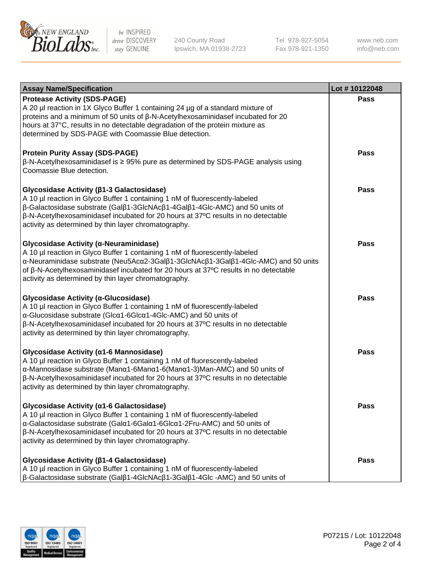

240 County Road Ipswich, MA 01938-2723 Tel 978-927-5054 Fax 978-921-1350 www.neb.com info@neb.com

| <b>Assay Name/Specification</b>                                                                                                                                                                                                                                                                                                                                       | Lot #10122048 |
|-----------------------------------------------------------------------------------------------------------------------------------------------------------------------------------------------------------------------------------------------------------------------------------------------------------------------------------------------------------------------|---------------|
| <b>Protease Activity (SDS-PAGE)</b><br>A 20 µl reaction in 1X Glyco Buffer 1 containing 24 µg of a standard mixture of<br>proteins and a minimum of 50 units of $\beta$ -N-Acetylhexosaminidasef incubated for 20<br>hours at 37°C, results in no detectable degradation of the protein mixture as<br>determined by SDS-PAGE with Coomassie Blue detection.           | Pass          |
| <b>Protein Purity Assay (SDS-PAGE)</b><br>$\beta$ -N-Acetylhexosaminidasef is $\geq$ 95% pure as determined by SDS-PAGE analysis using<br>Coomassie Blue detection.                                                                                                                                                                                                   | <b>Pass</b>   |
| Glycosidase Activity (β1-3 Galactosidase)<br>A 10 µl reaction in Glyco Buffer 1 containing 1 nM of fluorescently-labeled<br>β-Galactosidase substrate (Galβ1-3GlcNAcβ1-4Galβ1-4Glc-AMC) and 50 units of<br>$\beta$ -N-Acetylhexosaminidasef incubated for 20 hours at 37 $\degree$ C results in no detectable<br>activity as determined by thin layer chromatography. | Pass          |
| Glycosidase Activity (α-Neuraminidase)<br>A 10 µl reaction in Glyco Buffer 1 containing 1 nM of fluorescently-labeled<br>α-Neuraminidase substrate (Neu5Acα2-3Galβ1-3GlcNAcβ1-3Galβ1-4Glc-AMC) and 50 units<br>of β-N-Acetylhexosaminidasef incubated for 20 hours at 37°C results in no detectable<br>activity as determined by thin layer chromatography.           | Pass          |
| Glycosidase Activity (α-Glucosidase)<br>A 10 µl reaction in Glyco Buffer 1 containing 1 nM of fluorescently-labeled<br>α-Glucosidase substrate (Glcα1-6Glcα1-4Glc-AMC) and 50 units of<br>$\beta$ -N-Acetylhexosaminidasef incubated for 20 hours at 37 $\degree$ C results in no detectable<br>activity as determined by thin layer chromatography.                  | Pass          |
| Glycosidase Activity (α1-6 Mannosidase)<br>A 10 µl reaction in Glyco Buffer 1 containing 1 nM of fluorescently-labeled<br>α-Mannosidase substrate (Manα1-6Manα1-6(Manα1-3)Man-AMC) and 50 units of<br>β-N-Acetylhexosaminidasef incubated for 20 hours at 37°C results in no detectable<br>activity as determined by thin layer chromatography.                       | <b>Pass</b>   |
| Glycosidase Activity (a1-6 Galactosidase)<br>A 10 µl reaction in Glyco Buffer 1 containing 1 nM of fluorescently-labeled<br>α-Galactosidase substrate (Galα1-6Galα1-6Glcα1-2Fru-AMC) and 50 units of<br>$\beta$ -N-Acetylhexosaminidasef incubated for 20 hours at 37 $\degree$ C results in no detectable<br>activity as determined by thin layer chromatography.    | Pass          |
| Glycosidase Activity ( $\beta$ 1-4 Galactosidase)<br>A 10 µl reaction in Glyco Buffer 1 containing 1 nM of fluorescently-labeled<br>$\beta$ -Galactosidase substrate (Gal $\beta$ 1-4GlcNAc $\beta$ 1-3Gal $\beta$ 1-4Glc -AMC) and 50 units of                                                                                                                       | Pass          |

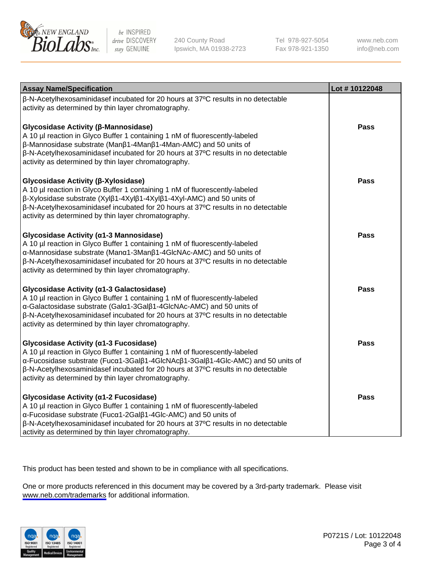

240 County Road Ipswich, MA 01938-2723 Tel 978-927-5054 Fax 978-921-1350

www.neb.com info@neb.com

| <b>Assay Name/Specification</b>                                                                                                                                                                                                                                                                                                                       | Lot #10122048 |
|-------------------------------------------------------------------------------------------------------------------------------------------------------------------------------------------------------------------------------------------------------------------------------------------------------------------------------------------------------|---------------|
| β-N-Acetylhexosaminidasef incubated for 20 hours at 37°C results in no detectable<br>activity as determined by thin layer chromatography.                                                                                                                                                                                                             |               |
| Glycosidase Activity (β-Mannosidase)<br>A 10 µl reaction in Glyco Buffer 1 containing 1 nM of fluorescently-labeled<br>β-Mannosidase substrate (Manβ1-4Manβ1-4Man-AMC) and 50 units of<br>β-N-Acetylhexosaminidasef incubated for 20 hours at 37°C results in no detectable<br>activity as determined by thin layer chromatography.                   | Pass          |
| Glycosidase Activity (β-Xylosidase)<br>A 10 µl reaction in Glyco Buffer 1 containing 1 nM of fluorescently-labeled<br>β-Xylosidase substrate (Xylβ1-4Xylβ1-4Xylβ1-4Xyl-AMC) and 50 units of<br>β-N-Acetylhexosaminidasef incubated for 20 hours at 37°C results in no detectable<br>activity as determined by thin layer chromatography.              | <b>Pass</b>   |
| Glycosidase Activity (α1-3 Mannosidase)<br>A 10 µl reaction in Glyco Buffer 1 containing 1 nM of fluorescently-labeled<br>α-Mannosidase substrate (Manα1-3Manβ1-4GlcNAc-AMC) and 50 units of<br>β-N-Acetylhexosaminidasef incubated for 20 hours at 37°C results in no detectable<br>activity as determined by thin layer chromatography.             | <b>Pass</b>   |
| Glycosidase Activity (a1-3 Galactosidase)<br>A 10 µl reaction in Glyco Buffer 1 containing 1 nM of fluorescently-labeled<br>α-Galactosidase substrate (Galα1-3Galβ1-4GlcNAc-AMC) and 50 units of<br>β-N-Acetylhexosaminidasef incubated for 20 hours at 37°C results in no detectable<br>activity as determined by thin layer chromatography.         | Pass          |
| Glycosidase Activity (α1-3 Fucosidase)<br>A 10 µl reaction in Glyco Buffer 1 containing 1 nM of fluorescently-labeled<br>α-Fucosidase substrate (Fucα1-3Galβ1-4GlcNAcβ1-3Galβ1-4Glc-AMC) and 50 units of<br>β-N-Acetylhexosaminidasef incubated for 20 hours at 37°C results in no detectable<br>activity as determined by thin layer chromatography. | <b>Pass</b>   |
| Glycosidase Activity (α1-2 Fucosidase)<br>A 10 µl reaction in Glyco Buffer 1 containing 1 nM of fluorescently-labeled<br>α-Fucosidase substrate (Fucα1-2Galβ1-4Glc-AMC) and 50 units of<br>β-N-Acetylhexosaminidasef incubated for 20 hours at 37°C results in no detectable<br>activity as determined by thin layer chromatography.                  | <b>Pass</b>   |

This product has been tested and shown to be in compliance with all specifications.

One or more products referenced in this document may be covered by a 3rd-party trademark. Please visit <www.neb.com/trademarks>for additional information.